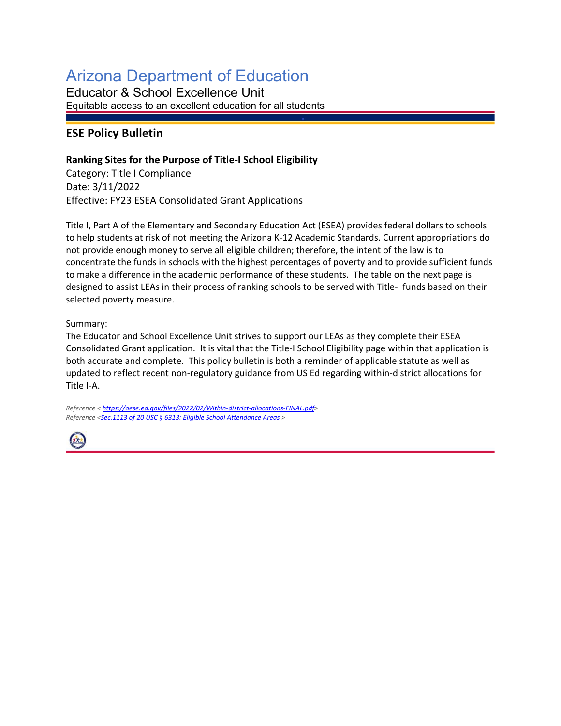## Arizona Department of Education

Educator & School Excellence Unit Equitable access to an excellent education for all students

## **ESE Policy Bulletin**

## **Ranking Sites for the Purpose of Title-I School Eligibility**

Category: Title I Compliance Date: 3/11/2022 Effective: FY23 ESEA Consolidated Grant Applications

Title I, Part A of the Elementary and Secondary Education Act (ESEA) provides federal dollars to schools to help students at risk of not meeting the Arizona K-12 Academic Standards. Current appropriations do not provide enough money to serve all eligible children; therefore, the intent of the law is to concentrate the funds in schools with the highest percentages of poverty and to provide sufficient funds to make a difference in the academic performance of these students. The table on the next page is designed to assist LEAs in their process of ranking schools to be served with Title-I funds based on their selected poverty measure.

## Summary:

The Educator and School Excellence Unit strives to support our LEAs as they complete their ESEA Consolidated Grant application. It is vital that the Title-I School Eligibility page within that application is both accurate and complete. This policy bulletin is both a reminder of applicable statute as well as updated to reflect recent non-regulatory guidance from US Ed regarding within-district allocations for Title I-A.

*Reference < [https://oese.ed.gov/files/2022/02/Within-district-allocations-FINAL.pdf>](https://oese.ed.gov/files/2022/02/Within-district-allocations-FINAL.pdf) Reference <Sec.1113 [of 20 USC § 6313: Eligible School Attendance Areas](https://www.law.cornell.edu/uscode/text/20/6313) >*